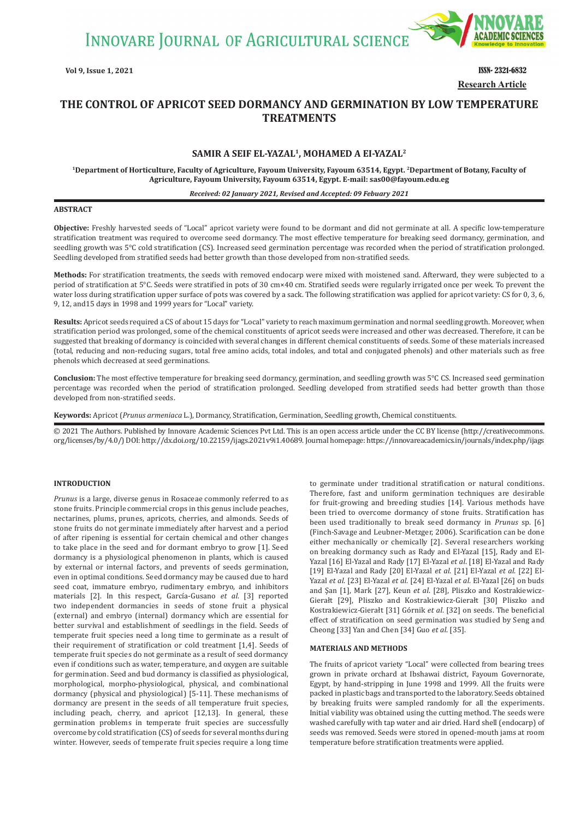**INNOVARE JOURNAL OF AGRICULTURAL SCIENCE** 



**Vol 9, Issue 1, 2021** ISSN- 2321-6832 **Research Article**

# **THE CONTROL OF APRICOT SEED DORMANCY AND GERMINATION BY LOW TEMPERATURE TREATMENTS**

# **SAMIR A SEIF EL-YAZAL1, MOHAMED A EI-YAZAL2**

**1Department of Horticulture, Faculty of Agriculture, Fayoum University, Fayoum 63514, Egypt. 2Department of Botany, Faculty of Agriculture, Fayoum University, Fayoum 63514, Egypt. E-mail: [sas00@fayoum.edu.eg](mailto:sas00@fayoum.edu.eg)**

#### *Received: 02 January 2021, Revised and Accepted: 09 Febuary 2021*

#### **ABSTRACT**

**Objective:** Freshly harvested seeds of "Local" apricot variety were found to be dormant and did not germinate at all. A specific low-temperature stratification treatment was required to overcome seed dormancy. The most effective temperature for breaking seed dormancy, germination, and seedling growth was 5°C cold stratification (CS). Increased seed germination percentage was recorded when the period of stratification prolonged. Seedling developed from stratified seeds had better growth than those developed from non-stratified seeds.

**Methods:** For stratification treatments, the seeds with removed endocarp were mixed with moistened sand. Afterward, they were subjected to a period of stratification at 5°C. Seeds were stratified in pots of 30 cm×40 cm. Stratified seeds were regularly irrigated once per week. To prevent the water loss during stratification upper surface of pots was covered by a sack. The following stratification was applied for apricot variety: CS for 0, 3, 6, 9, 12, and15 days in 1998 and 1999 years for "Local" variety.

**Results:** Apricot seeds required a CS of about 15 days for "Local" variety to reach maximum germination and normal seedling growth. Moreover, when stratification period was prolonged, some of the chemical constituents of apricot seeds were increased and other was decreased. Therefore, it can be suggested that breaking of dormancy is coincided with several changes in different chemical constituents of seeds. Some of these materials increased (total, reducing and non-reducing sugars, total free amino acids, total indoles, and total and conjugated phenols) and other materials such as free phenols which decreased at seed germinations.

**Conclusion:** The most effective temperature for breaking seed dormancy, germination, and seedling growth was 5°C CS. Increased seed germination percentage was recorded when the period of stratification prolonged. Seedling developed from stratified seeds had better growth than those developed from non-stratified seeds.

**Keywords:** Apricot (*Prunus armeniaca* L.), Dormancy, Stratification, Germination, Seedling growth, Chemical constituents.

© 2021 The Authors. Published by Innovare Academic Sciences Pvt Ltd. This is an open access article under the CC BY license (http://creativecommons. org/licenses/by/4.0/) DOI: http://dx.doi.org/10.22159/ijags.2021v9i1.40689. Journal homepage: https://innovareacademics.in/journals/index.php/ijags

## **INTRODUCTION**

*Prunus* is a large, diverse genus in Rosaceae commonly referred to as stone fruits. Principle commercial crops in this genus include peaches, nectarines, plums, prunes, apricots, cherries, and almonds. Seeds of stone fruits do not germinate immediately after harvest and a period of after ripening is essential for certain chemical and other changes to take place in the seed and for dormant embryo to grow [1]. Seed dormancy is a physiological phenomenon in plants, which is caused by external or internal factors, and prevents of seeds germination, even in optimal conditions. Seed dormancy may be caused due to hard seed coat, immature embryo, rudimentary embryo, and inhibitors materials [2]. In this respect, García-Gusano *et al*. [3] reported two independent dormancies in seeds of stone fruit a physical (external) and embryo (internal) dormancy which are essential for better survival and establishment of seedlings in the field. Seeds of temperate fruit species need a long time to germinate as a result of their requirement of stratification or cold treatment [1,4]. Seeds of temperate fruit species do not germinate as a result of seed dormancy even if conditions such as water, temperature, and oxygen are suitable for germination. Seed and bud dormancy is classified as physiological, morphological, morpho-physiological, physical, and combinational dormancy (physical and physiological) [5-11]. These mechanisms of dormancy are present in the seeds of all temperature fruit species, including peach, cherry, and apricot [12,13]. In general, these germination problems in temperate fruit species are successfully overcome by cold stratification (CS) of seeds for several months during winter. However, seeds of temperate fruit species require a long time to germinate under traditional stratification or natural conditions. Therefore, fast and uniform germination techniques are desirable for fruit-growing and breeding studies [14]. Various methods have been tried to overcome dormancy of stone fruits. Stratification has been used traditionally to break seed dormancy in *Prunus* sp. [6] (Finch-Savage and Leubner-Metzger, 2006). Scarification can be done either mechanically or chemically [2]. Several researchers working on breaking dormancy such as Rady and El-Yazal [15], Rady and El-Yazal [16] El-Yazal and Rady [17] El-Yazal *et al*. [18] El-Yazal and Rady [19] El-Yazal and Rady [20] El-Yazal *et al*. [21] El-Yazal *et al*. [22] El-Yazal *et al*. [23] El-Yazal *et al*. [24] El-Yazal *et al*. El-Yazal [26] on buds and Şan [1], Mark [27], Keun *et al*. [28], Pliszko and Kostrakiewicz-Gierałt [29], Pliszko and Kostrakiewicz-Gierałt [30] Pliszko and Kostrakiewicz-Gierałt [31] Górnik *et al*. [32] on seeds. The beneficial effect of stratification on seed germination was studied by Seng and Cheong [33] Yan and Chen [34] Guo *et al*. [35].

### **MATERIALS AND METHODS**

The fruits of apricot variety "Local" were collected from bearing trees grown in private orchard at Ibshawai district, Fayoum Governorate, Egypt, by hand-stripping in June 1998 and 1999. All the fruits were packed in plastic bags and transported to the laboratory. Seeds obtained by breaking fruits were sampled randomly for all the experiments. Initial viability was obtained using the cutting method. The seeds were washed carefully with tap water and air dried. Hard shell (endocarp) of seeds was removed. Seeds were stored in opened-mouth jams at room temperature before stratification treatments were applied.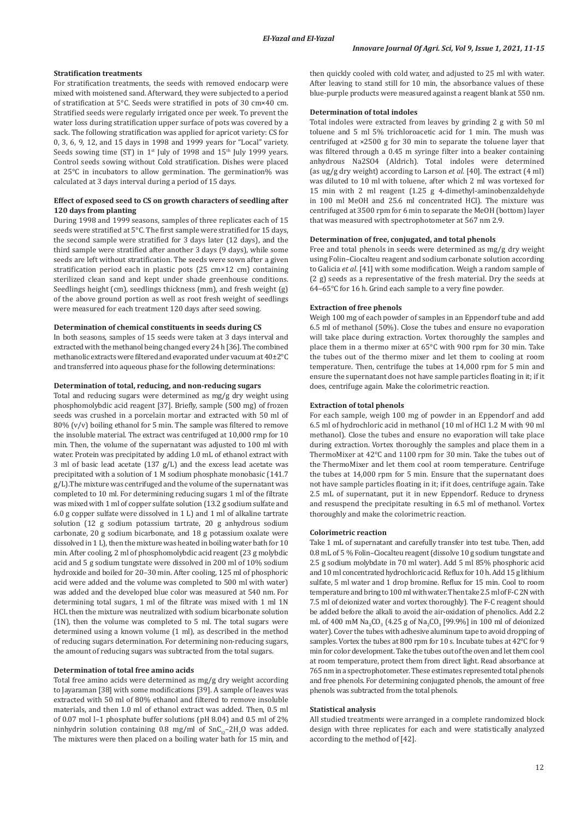#### **Stratification treatments**

For stratification treatments, the seeds with removed endocarp were mixed with moistened sand. Afterward, they were subjected to a period of stratification at 5°C. Seeds were stratified in pots of 30 cm×40 cm. Stratified seeds were regularly irrigated once per week. To prevent the water loss during stratification upper surface of pots was covered by a sack. The following stratification was applied for apricot variety: CS for 0, 3, 6, 9, 12, and 15 days in 1998 and 1999 years for "Local" variety. Seeds sowing time (ST) in  $1^{st}$  July of 1998 and  $15^{th}$  July 1999 years. Control seeds sowing without Cold stratification. Dishes were placed at 25°C in incubators to allow germination. The germination% was calculated at 3 days interval during a period of 15 days.

## **Effect of exposed seed to CS on growth characters of seedling after 120 days from planting**

During 1998 and 1999 seasons, samples of three replicates each of 15 seeds were stratified at 5°C. The first sample were stratified for 15 days, the second sample were stratified for 3 days later (12 days), and the third sample were stratified after another 3 days (9 days), while some seeds are left without stratification. The seeds were sown after a given stratification period each in plastic pots (25 cm×12 cm) containing sterilized clean sand and kept under shade greenhouse conditions. Seedlings height (cm), seedlings thickness (mm), and fresh weight (g) of the above ground portion as well as root fresh weight of seedlings were measured for each treatment 120 days after seed sowing.

### **Determination of chemical constituents in seeds during CS**

In both seasons, samples of 15 seeds were taken at 3 days interval and extracted with the methanol being changed every 24 h [36]. The combined methanolic extracts were filtered and evaporated under vacuum at 40±2°C and transferred into aqueous phase for the following determinations:

#### **Determination of total, reducing, and non-reducing sugars**

Total and reducing sugars were determined as mg/g dry weight using phosphomolybdic acid reagent [37]. Briefly, sample (500 mg) of frozen seeds was crushed in a porcelain mortar and extracted with 50 ml of 80% (v/v) boiling ethanol for 5 min. The sample was filtered to remove the insoluble material. The extract was centrifuged at 10,000 rmp for 10 min. Then, the volume of the supernatant was adjusted to 100 ml with water. Protein was precipitated by adding 1.0 mL of ethanol extract with 3 ml of basic lead acetate (137 g/L) and the excess lead acetate was precipitated with a solution of 1 M sodium phosphate monobasic (141.7 g/L).The mixture was centrifuged and the volume of the supernatant was completed to 10 ml. For determining reducing sugars 1 ml of the filtrate was mixed with 1 ml of copper sulfate solution (13.2 g sodium sulfate and 6.0 g copper sulfate were dissolved in 1 L) and 1 ml of alkaline tartrate solution (12 g sodium potassium tartrate, 20 g anhydrous sodium carbonate, 20 g sodium bicarbonate, and 18 g potassium oxalate were dissolved in 1 L), then the mixture was heated in boiling water bath for 10 min. After cooling, 2 ml of phosphomolybdic acid reagent (23 g molybdic acid and 5 g sodium tungstate were dissolved in 200 ml of 10% sodium hydroxide and boiled for 20–30 min. After cooling, 125 ml of phosphoric acid were added and the volume was completed to 500 ml with water) was added and the developed blue color was measured at 540 nm. For determining total sugars, 1 ml of the filtrate was mixed with 1 ml 1N HCL then the mixture was neutralized with sodium bicarbonate solution (1N), then the volume was completed to 5 ml. The total sugars were determined using a known volume (1 ml), as described in the method of reducing sugars determination. For determining non-reducing sugars, the amount of reducing sugars was subtracted from the total sugars.

#### **Determination of total free amino acids**

Total free amino acids were determined as mg/g dry weight according to Jayaraman [38] with some modifications [39]. A sample of leaves was extracted with 50 ml of 80% ethanol and filtered to remove insoluble materials, and then 1.0 ml of ethanol extract was added. Then, 0.5 ml of 0.07 mol l–1 phosphate buffer solutions (pH 8.04) and 0.5 ml of 2%  $\min$ ninhydrin solution containing 0.8 mg/ml of SnC $_{12}$ –2H $_{2}$ O was added. The mixtures were then placed on a boiling water bath for 15 min, and then quickly cooled with cold water, and adjusted to 25 ml with water. After leaving to stand still for 10 min, the absorbance values of these blue-purple products were measured against a reagent blank at 550 nm.

## **Determination of total indoles**

Total indoles were extracted from leaves by grinding 2 g with 50 ml toluene and 5 ml 5% trichloroacetic acid for 1 min. The mush was centrifuged at ×2500 g for 30 min to separate the toluene layer that was filtered through a 0.45 m syringe filter into a beaker containing anhydrous Na2SO4 (Aldrich). Total indoles were determined (as ug/g dry weight) according to Larson *et al*. [40]. The extract (4 ml) was diluted to 10 ml with toluene, after which 2 ml was vortexed for 15 min with 2 ml reagent (1.25 g 4-dimethyl-aminobenzaldehyde in 100 ml MeOH and 25.6 ml concentrated HCl). The mixture was centrifuged at 3500 rpm for 6 min to separate the MeOH (bottom) layer that was measured with spectrophotometer at 567 nm 2.9.

## **Determination of free, conjugated, and total phenols**

Free and total phenols in seeds were determined as mg/g dry weight using Folin–Ciocalteu reagent and sodium carbonate solution according to Galicia *et al*. [41] with some modification. Weigh a random sample of (2 g) seeds as a representative of the fresh material. Dry the seeds at 64–65°C for 16 h. Grind each sample to a very fine powder.

#### **Extraction of free phenols**

Weigh 100 mg of each powder of samples in an Eppendorf tube and add 6.5 ml of methanol (50%). Close the tubes and ensure no evaporation will take place during extraction. Vortex thoroughly the samples and place them in a thermo mixer at 65°C with 900 rpm for 30 min. Take the tubes out of the thermo mixer and let them to cooling at room temperature. Then, centrifuge the tubes at 14,000 rpm for 5 min and ensure the supernatant does not have sample particles floating in it; if it does, centrifuge again. Make the colorimetric reaction.

#### **Extraction of total phenols**

For each sample, weigh 100 mg of powder in an Eppendorf and add 6.5 ml of hydrochloric acid in methanol (10 ml of HCl 1.2 M with 90 ml methanol). Close the tubes and ensure no evaporation will take place during extraction. Vortex thoroughly the samples and place them in a ThermoMixer at 42°C and 1100 rpm for 30 min. Take the tubes out of the ThermoMixer and let them cool at room temperature. Centrifuge the tubes at 14,000 rpm for 5 min. Ensure that the supernatant does not have sample particles floating in it; if it does, centrifuge again. Take 2.5 mL of supernatant, put it in new Eppendorf. Reduce to dryness and resuspend the precipitate resulting in 6.5 ml of methanol. Vortex thoroughly and make the colorimetric reaction.

## **Colorimetric reaction**

Take 1 mL of supernatant and carefully transfer into test tube. Then, add 0.8 mL of 5 % Folin–Ciocalteu reagent (dissolve 10 g sodium tungstate and 2.5 g sodium molybdate in 70 ml water). Add 5 ml 85% phosphoric acid and 10 ml concentrated hydrochloric acid. Reflux for 10 h. Add 15 g lithium sulfate, 5 ml water and 1 drop bromine. Reflux for 15 min. Cool to room temperature and bring to 100 ml with water. Then take 2.5 ml of F-C 2N with 7.5 ml of deionized water and vortex thoroughly). The F-C reagent should be added before the alkali to avoid the air-oxidation of phenolics. Add 2.2 mL of 400 mM  $\text{Na}_2\text{CO}_3$  (4.25 g of  $\text{Na}_2\text{CO}_3$  [99.9%] in 100 ml of deionized water). Cover the tubes with adhesive aluminum tape to avoid dropping of samples. Vortex the tubes at 800 rpm for 10 s. Incubate tubes at 42°C for 9 min for color development. Take the tubes out of the oven and let them cool at room temperature, protect them from direct light. Read absorbance at 765 nm in a spectrophotometer. These estimates represented total phenols and free phenols. For determining conjugated phenols, the amount of free phenols was subtracted from the total phenols.

## **Statistical analysis**

All studied treatments were arranged in a complete randomized block design with three replicates for each and were statistically analyzed according to the method of [42].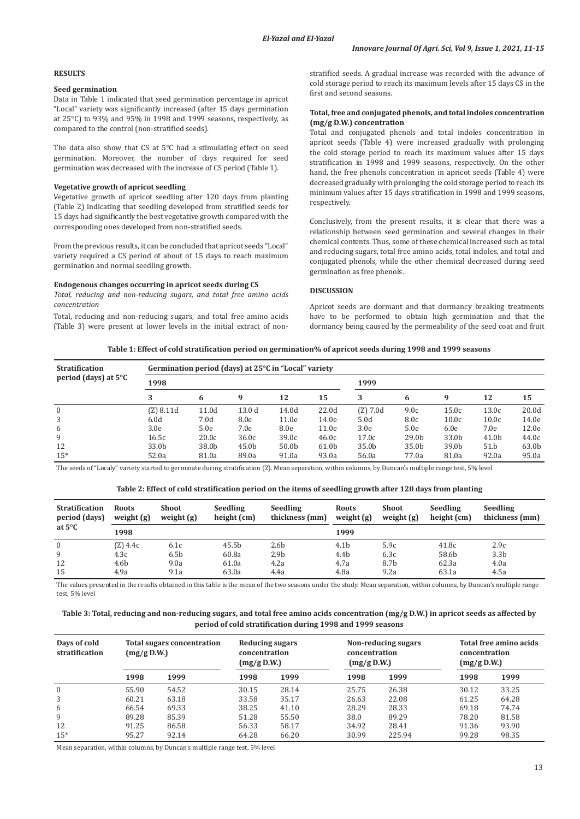### **RESULTS**

## **Seed germination**

Data in Table 1 indicated that seed germination percentage in apricot "Local" variety was significantly increased (after 15 days germination at 25°C) to 93% and 95% in 1998 and 1999 seasons, respectively, as compared to the control (non-stratified seeds).

The data also show that CS at 5°C had a stimulating effect on seed germination. Moreover, the number of days required for seed germination was decreased with the increase of CS period (Table 1).

## **Vegetative growth of apricot seedling**

Vegetative growth of apricot seedling after 120 days from planting (Table 2) indicating that seedling developed from stratified seeds for 15 days had significantly the best vegetative growth compared with the corresponding ones developed from non-stratified seeds.

From the previous results, it can be concluded that apricot seeds "Local" variety required a CS period of about of 15 days to reach maximum germination and normal seedling growth.

### **Endogenous changes occurring in apricot seeds during CS**

*Total, reducing and non-reducing sugars, and total free amino acids concentration*

Total, reducing and non-reducing sugars, and total free amino acids (Table 3) were present at lower levels in the initial extract of nonstratified seeds. A gradual increase was recorded with the advance of cold storage period to reach its maximum levels after 15 days CS in the first and second seasons.

# **Total, free and conjugated phenols, and total indoles concentration (mg/g D.W.) concentration**

Total and conjugated phenols and total indoles concentration in apricot seeds (Table 4) were increased gradually with prolonging the cold storage period to reach its maximum values after 15 days stratification in 1998 and 1999 seasons, respectively. On the other hand, the free phenols concentration in apricot seeds (Table 4) were decreased gradually with prolonging the cold storage period to reach its minimum values after 15 days stratification in 1998 and 1999 seasons, respectively.

Conclusively, from the present results, it is clear that there was a relationship between seed germination and several changes in their chemical contents. Thus, some of these chemical increased such as total and reducing sugars, total free amino acids, total indoles, and total and conjugated phenols, while the other chemical decreased during seed germination as free phenols.

### **DISCUSSION**

Apricot seeds are dormant and that dormancy breaking treatments have to be performed to obtain high germination and that the dormancy being caused by the permeability of the seed coat and fruit

**Table 1: Effect of cold stratification period on germination% of apricot seeds during 1998 and 1999 seasons**

| <b>Stratification</b> | Germination period (days) at 25 <sup>o</sup> C in "Local" variety |                   |                   |                   |       |            |                   |       |       |       |
|-----------------------|-------------------------------------------------------------------|-------------------|-------------------|-------------------|-------|------------|-------------------|-------|-------|-------|
| period (days) at 5°C  | 1998                                                              |                   |                   | 1999              |       |            |                   |       |       |       |
|                       | 3                                                                 | 6                 | 9                 | 12                | 15    | 3          | 6                 | 9     | 12    | 15    |
| $\mathbf{0}$          | $(Z)$ 8.11d                                                       | 11.0d             | 13.0 <sub>d</sub> | 14.0d             | 22.0d | $(Z)$ 7.0d | 9.0c              | 15.0c | 13.0c | 20.0d |
| 3                     | 6.0d                                                              | 7.0 <sub>d</sub>  | 8.0e              | 11.0e             | 14.0e | 5.0d       | 8.0c              | 10.0c | 10.0c | 14.0e |
| 6                     | 3.0e                                                              | 5.0e              | 7.0e              | 8.0e              | 11.0e | 3.0e       | 5.0e              | 6.0e  | 7.0e  | 12.0e |
| 9                     | 16.5c                                                             | 20.0 <sub>c</sub> | 36.0c             | 39.0c             | 46.0c | 17.0c      | 29.0 <sub>b</sub> | 33.0b | 41.0b | 44.0c |
| 12                    | 33.0b                                                             | 38.0b             | 45.0b             | 50.0 <sub>b</sub> | 61.0b | 35.0b      | 35.0b             | 39.0b | 51.b  | 63.0b |
| $15*$                 | 52.0a                                                             | 81.0a             | 89.0a             | 91.0a             | 93.0a | 56.0a      | 77.0a             | 81.0a | 92.0a | 95.0a |

The seeds of "Localy" variety started to germinate during stratification (Z). Mean separation, within columns, by Duncan's multiple range test, 5% level

| Table 2: Effect of cold stratification period on the items of seedling growth after 120 days from planting |  |  |  |
|------------------------------------------------------------------------------------------------------------|--|--|--|
|------------------------------------------------------------------------------------------------------------|--|--|--|

| <b>Stratification</b><br>period (days)<br>at $5^{\circ}$ C | <b>Roots</b><br>weight $(g)$ | Shoot<br>weight $(g)$ | <b>Seedling</b><br>height (cm) | Seedling<br>thickness (mm) | <b>Roots</b><br>weight $(g)$ | Shoot<br>weight $(g)$ | Seedling<br>height (cm) | <b>Seedling</b><br>thickness (mm) |
|------------------------------------------------------------|------------------------------|-----------------------|--------------------------------|----------------------------|------------------------------|-----------------------|-------------------------|-----------------------------------|
|                                                            | 1998                         |                       |                                |                            | 1999                         |                       |                         |                                   |
| $\overline{0}$                                             | (Z) 4.4c                     | 6.1c                  | 45.5b                          | 2.6b                       | 4.1 <sub>b</sub>             | 5.9c                  | 41.8c                   | 2.9c                              |
| 9                                                          | 4.3c                         | 6.5 <sub>b</sub>      | 60.8a                          | 2.9 <sub>b</sub>           | 4.4b                         | 6.3c                  | 58.6b                   | 3.3 <sub>b</sub>                  |
| 12                                                         | 4.6b                         | 9.0a                  | 61.0a                          | 4.2a                       | 4.7a                         | 8.7b                  | 62.3a                   | 4.0a                              |
| 15                                                         | 4.9a                         | 9.1a                  | 63.0a                          | 4.4a                       | 4.8a                         | 9.2a                  | 63.1a                   | 4.5a                              |

The values presented in the results obtained in this table is the mean of the two seasons under the study. Mean separation, within columns, by Duncan's multiple range test, 5% level

## **Table 3: Total, reducing and non-reducing sugars, and total free amino acids concentration (mg/g D.W.) in apricot seeds as affected by period of cold stratification during 1998 and 1999 seasons**

| Days of cold<br>stratification | <b>Total sugars concentration</b><br>(mg/g D.W.) |       | Reducing sugars<br>concentration<br>(mg/g D.W.) |       | Non-reducing sugars<br>concentration<br>(mg/g D.W.) |        | Total free amino acids<br>concentration<br>(mg/g D.W.) |       |
|--------------------------------|--------------------------------------------------|-------|-------------------------------------------------|-------|-----------------------------------------------------|--------|--------------------------------------------------------|-------|
|                                | 1998                                             | 1999  | 1998                                            | 1999  | 1998                                                | 1999   | 1998                                                   | 1999  |
| $\mathbf{0}$                   | 55.90                                            | 54.52 | 30.15                                           | 28.14 | 25.75                                               | 26.38  | 30.12                                                  | 33.25 |
| 3                              | 60.21                                            | 63.18 | 33.58                                           | 35.17 | 26.63                                               | 22.08  | 61.25                                                  | 64.28 |
| 6                              | 66.54                                            | 69.33 | 38.25                                           | 41.10 | 28.29                                               | 28.33  | 69.18                                                  | 74.74 |
| 9                              | 89.28                                            | 85.39 | 51.28                                           | 55.50 | 38.0                                                | 89.29  | 78.20                                                  | 81.58 |
| 12                             | 91.25                                            | 86.58 | 56.33                                           | 58.17 | 34.92                                               | 28.41  | 91.36                                                  | 93.90 |
| $15*$                          | 95.27                                            | 92.14 | 64.28                                           | 66.20 | 30.99                                               | 225.94 | 99.28                                                  | 98.35 |

Mean separation, within columns, by Duncan's multiple range test, 5% level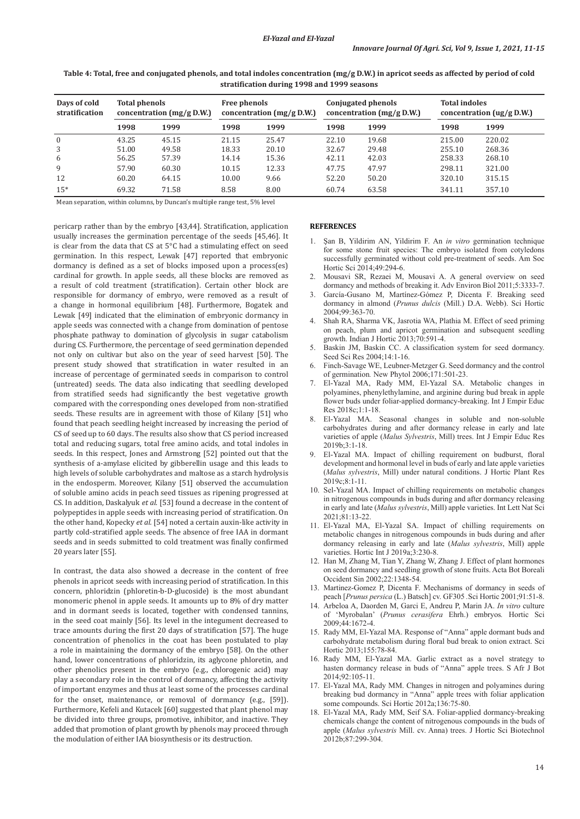| Days of cold<br>stratification | <b>Total phenols</b><br>concentration $(mg/g D.W.)$ |       | <b>Free phenols</b><br>concentration $(mg/g D.W.)$ |       | Conjugated phenols<br>concentration $(mg/g D.W.)$ |       | <b>Total indoles</b><br>concentration $(ug/g D.W.)$ |        |
|--------------------------------|-----------------------------------------------------|-------|----------------------------------------------------|-------|---------------------------------------------------|-------|-----------------------------------------------------|--------|
|                                | 1998                                                | 1999  | 1998                                               | 1999  | 1998                                              | 1999  | 1998                                                | 1999   |
| $\mathbf{0}$                   | 43.25                                               | 45.15 | 21.15                                              | 25.47 | 22.10                                             | 19.68 | 215.00                                              | 220.02 |
| 3                              | 51.00                                               | 49.58 | 18.33                                              | 20.10 | 32.67                                             | 29.48 | 255.10                                              | 268.36 |
| 6                              | 56.25                                               | 57.39 | 14.14                                              | 15.36 | 42.11                                             | 42.03 | 258.33                                              | 268.10 |
| 9                              | 57.90                                               | 60.30 | 10.15                                              | 12.33 | 47.75                                             | 47.97 | 298.11                                              | 321.00 |
| 12                             | 60.20                                               | 64.15 | 10.00                                              | 9.66  | 52.20                                             | 50.20 | 320.10                                              | 315.15 |
| $15*$                          | 69.32                                               | 71.58 | 8.58                                               | 8.00  | 60.74                                             | 63.58 | 341.11                                              | 357.10 |

**Table 4: Total, free and conjugated phenols, and total indoles concentration (mg/g D.W.) in apricot seeds as affected by period of cold stratification during 1998 and 1999 seasons**

Mean separation, within columns, by Duncan's multiple range test, 5% level

pericarp rather than by the embryo [43,44]. Stratification, application usually increases the germination percentage of the seeds [45,46]. It is clear from the data that CS at 5°C had a stimulating effect on seed germination. In this respect, Lewak [47] reported that embryonic dormancy is defined as a set of blocks imposed upon a process(es) cardinal for growth. In apple seeds, all these blocks are removed as a result of cold treatment (stratification). Certain other block are responsible for dormancy of embryo, were removed as a result of a change in hormonal equilibrium [48]. Furthermore, Bogatek and Lewak [49] indicated that the elimination of embryonic dormancy in apple seeds was connected with a change from domination of pentose phosphate pathway to domination of glycolysis in sugar catabolism during CS. Furthermore, the percentage of seed germination depended not only on cultivar but also on the year of seed harvest [50]. The present study showed that stratification in water resulted in an increase of percentage of germinated seeds in comparison to control (untreated) seeds. The data also indicating that seedling developed from stratified seeds had significantly the best vegetative growth compared with the corresponding ones developed from non-stratified seeds. These results are in agreement with those of Kilany [51] who found that peach seedling height increased by increasing the period of CS of seed up to 60 days. The results also show that CS period increased total and reducing sugars, total free amino acids, and total indoles in seeds. In this respect, Jones and Armstrong [52] pointed out that the synthesis of a-amylase elicited by gibberellin usage and this leads to high levels of soluble carbohydrates and maltose as a starch hydrolysis in the endosperm. Moreover, Kilany [51] observed the accumulation of soluble amino acids in peach seed tissues as ripening progressed at CS. In addition, Daskalyuk *et al*. [53] found a decrease in the content of polypeptides in apple seeds with increasing period of stratification. On the other hand, Kopecky *et al.* [54] noted a certain auxin-like activity in partly cold-stratified apple seeds. The absence of free IAA in dormant seeds and in seeds submitted to cold treatment was finally confirmed 20 years later [55].

In contrast, the data also showed a decrease in the content of free phenols in apricot seeds with increasing period of stratification. In this concern, phloridzin (phloretin-b-D-glucoside) is the most abundant monomeric phenol in apple seeds. It amounts up to 8% of dry matter and in dormant seeds is located, together with condensed tannins, in the seed coat mainly [56]. Its level in the integument decreased to trace amounts during the first 20 days of stratification [57]. The huge concentration of phenolics in the coat has been postulated to play a role in maintaining the dormancy of the embryo [58]. On the other hand, lower concentrations of phloridzin, its aglycone phloretin, and other phenolics present in the embryo (e.g., chlorogenic acid) may play a secondary role in the control of dormancy, affecting the activity of important enzymes and thus at least some of the processes cardinal for the onset, maintenance, or removal of dormancy (e.g., [59]). Furthermore, Kefeli and Kutacek [60] suggested that plant phenol may be divided into three groups, promotive, inhibitor, and inactive. They added that promotion of plant growth by phenols may proceed through the modulation of either IAA biosynthesis or its destruction.

## **REFERENCES**

- 1. Şan B, Yildirim AN, Yildirim F. An *in vitro* germination technique for some stone fruit species: The embryo isolated from cotyledons successfully germinated without cold pre-treatment of seeds. Am Soc Hortic Sci 2014;49:294-6.
- Mousavi SR, Rezaei M, Mousavi A. A general overview on seed dormancy and methods of breaking it. Adv Environ Biol 2011;5:3333-7.
- García-Gusano M, Martínez-Gómez P, Dicenta F. Breaking seed dormancy in almond (*Prunus dulcis* (Mill.) D.A. Webb). Sci Hortic 2004;99:363-70.
- 4. Shah RA, Sharma VK, Jasrotia WA, Plathia M. Effect of seed priming on peach, plum and apricot germination and subsequent seedling growth. Indian J Hortic 2013;70:591-4.
- Baskin JM, Baskin CC. A classification system for seed dormancy. Seed Sci Res 2004;14:1-16.
- Finch-Savage WE, Leubner-Metzger G. Seed dormancy and the control of germination*.* New Phytol 2006;171:501-23.
- 7. El-Yazal MA, Rady MM, El-Yazal SA. Metabolic changes in polyamines, phenylethylamine, and arginine during bud break in apple flower buds under foliar-applied dormancy-breaking. Int J Empir Educ Res 2018c;1:1-18.
- 8. El-Yazal MA. Seasonal changes in soluble and non-soluble carbohydrates during and after dormancy release in early and late varieties of apple (*Malus Sylvestris*, Mill) trees. Int J Empir Educ Res 2019b;3:1-18.
- El-Yazal MA. Impact of chilling requirement on budburst, floral development and hormonal level in buds of early and late apple varieties (*Malus sylvestris*, Mill) under natural conditions. J Hortic Plant Res 2019c;8:1-11.
- 10. Sel-Yazal MA. Impact of chilling requirements on metabolic changes in nitrogenous compounds in buds during and after dormancy releasing in early and late (*Malus sylvestris*, Mill) apple varieties. Int Lett Nat Sci 2021;81:13-22.
- 11. El-Yazal MA, El-Yazal SA. Impact of chilling requirements on metabolic changes in nitrogenous compounds in buds during and after dormancy releasing in early and late (*Malus sylvestris*, Mill) apple varieties. Hortic Int J 2019a;3:230-8.
- 12. Han M, Zhang M, Tian Y, Zhang W, Zhang J. Effect of plant hormones on seed dormancy and seedling growth of stone fruits. Acta Bot Boreali Occident Sin 2002;22:1348-54.
- 13. Martinez-Gomez P, Dicenta F. Mechanisms of dormancy in seeds of peach [*Prunus persica* (L.) Batsch] cv. GF305 *.*Sci Hortic 2001;91:51-8.
- 14. Arbeloa A, Daorden M, Garci E, Andreu P, Marin JA. *In vitro* culture of 'Myrobalan' (*Prunus cerasifera* Ehrh.) embryos*.* Hortic Sci 2009;44:1672-4.
- 15. Rady MM, El-Yazal MA. Response of "Anna" apple dormant buds and carbohydrate metabolism during floral bud break to onion extract. Sci Hortic 2013;155:78-84.
- 16. Rady MM, El-Yazal MA. Garlic extract as a novel strategy to hasten dormancy release in buds of "Anna" apple trees. S Afr J Bot 2014;92:105-11.
- 17. El-Yazal MA, Rady MM. Changes in nitrogen and polyamines during breaking bud dormancy in "Anna" apple trees with foliar application some compounds. Sci Hortic 2012a;136:75-80.
- 18. El-Yazal MA, Rady MM, Seif SA. Foliar-applied dormancy-breaking chemicals change the content of nitrogenous compounds in the buds of apple (*Malus sylvestris* Mill. cv. Anna) trees. J Hortic Sci Biotechnol 2012b;87:299-304.